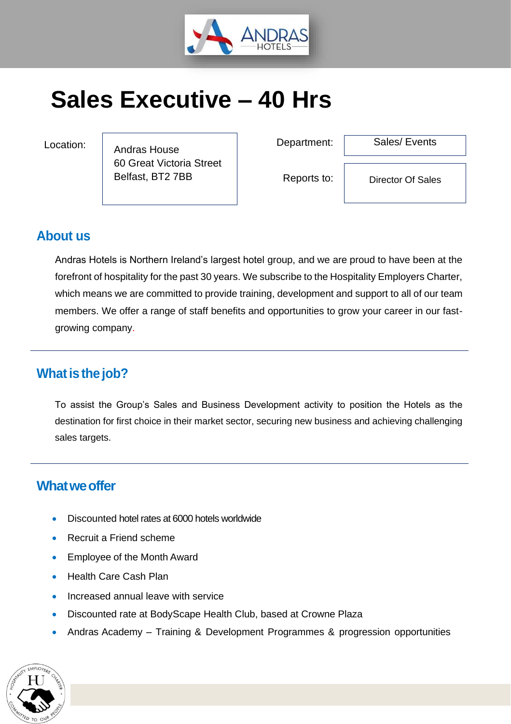

# **Sales Executive – 40 Hrs**

Andras House 60 Great Victoria Street Belfast, BT2 7BB

Location:  $\begin{array}{ccc} \n\end{array}$   $\begin{array}{ccc} \n\end{array}$   $\begin{array}{ccc} \n\end{array}$  Department:

Sales/ Events

Reports to:

Director Of Sales

## **About us**

Andras Hotels is Northern Ireland's largest hotel group, and we are proud to have been at the forefront of hospitality for the past 30 years. We subscribe to the Hospitality Employers Charter, which means we are committed to provide training, development and support to all of our team members. We offer a range of staff benefits and opportunities to grow your career in our fastgrowing company.

## **What is the job?**

To assist the Group's Sales and Business Development activity to position the Hotels as the destination for first choice in their market sector, securing new business and achieving challenging sales targets.

# **What we offer**

- Discounted hotel rates at 6000 hotels worldwide
- Recruit a Friend scheme
- Employee of the Month Award
- Health Care Cash Plan
- Increased annual leave with service
- Discounted rate at BodyScape Health Club, based at Crowne Plaza
- Andras Academy Training & Development Programmes & progression opportunities

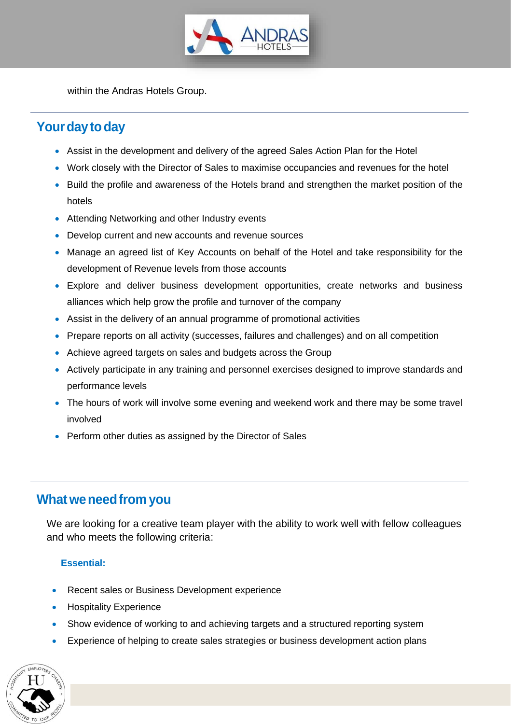

within the Andras Hotels Group.

# Your day to day

- Assist in the development and delivery of the agreed Sales Action Plan for the Hotel
- Work closely with the Director of Sales to maximise occupancies and revenues for the hotel
- Build the profile and awareness of the Hotels brand and strengthen the market position of the hotels
- Attending Networking and other Industry events
- Develop current and new accounts and revenue sources
- Manage an agreed list of Key Accounts on behalf of the Hotel and take responsibility for the development of Revenue levels from those accounts
- Explore and deliver business development opportunities, create networks and business alliances which help grow the profile and turnover of the company
- Assist in the delivery of an annual programme of promotional activities
- Prepare reports on all activity (successes, failures and challenges) and on all competition
- Achieve agreed targets on sales and budgets across the Group
- Actively participate in any training and personnel exercises designed to improve standards and performance levels
- The hours of work will involve some evening and weekend work and there may be some travel involved
- Perform other duties as assigned by the Director of Sales

## **Whatweneedfrom you**

We are looking for a creative team player with the ability to work well with fellow colleagues and who meets the following criteria:

#### **Essential:**

- Recent sales or Business Development experience
- **Hospitality Experience**
- Show evidence of working to and achieving targets and a structured reporting system
- Experience of helping to create sales strategies or business development action plans